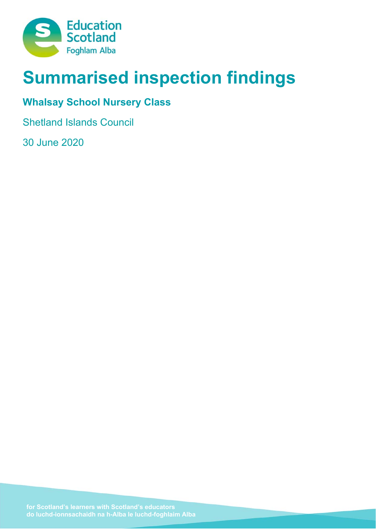

# **Summarised inspection findings**

# **Whalsay School Nursery Class**

Shetland Islands Council

30 June 2020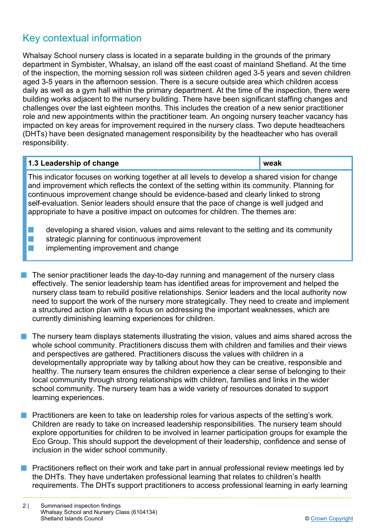# Key contextual information

Whalsay School nursery class is located in a separate building in the grounds of the primary department in Symbister, Whalsay, an island off the east coast of mainland Shetland. At the time of the inspection, the morning session roll was sixteen children aged 3-5 years and seven children aged 3-5 years in the afternoon session. There is a secure outside area which children access daily as well as a gym hall within the primary department. At the time of the inspection, there were building works adjacent to the nursery building. There have been significant staffing changes and challenges over the last eighteen months. This includes the creation of a new senior practitioner role and new appointments within the practitioner team. An ongoing nursery teacher vacancy has impacted on key areas for improvement required in the nursery class. Two depute headteachers (DHTs) have been designated management responsibility by the headteacher who has overall responsibility.

#### **1.3 Leadership of change weak and solution of the set of the set of the set of the set of the set of the set of the set of the set of the set of the set of the set of the set of the set of the set of the set of the set of**

This indicator focuses on working together at all levels to develop a shared vision for change and improvement which reflects the context of the setting within its community. Planning for continuous improvement change should be evidence-based and clearly linked to strong self-evaluation. Senior leaders should ensure that the pace of change is well judged and appropriate to have a positive impact on outcomes for children. The themes are:

- $\blacksquare$  developing a shared vision, values and aims relevant to the setting and its community
- $\blacksquare$  strategic planning for continuous improvement
- implementing improvement and change
- $\blacksquare$  The senior practitioner leads the day-to-day running and management of the nursery class effectively. The senior leadership team has identified areas for improvement and helped the nursery class team to rebuild positive relationships. Senior leaders and the local authority now need to support the work of the nursery more strategically. They need to create and implement a structured action plan with a focus on addressing the important weaknesses, which are currently diminishing learning experiences for children.

 $\blacksquare$  The nursery team displays statements illustrating the vision, values and aims shared across the whole school community. Practitioners discuss them with children and families and their views and perspectives are gathered. Practitioners discuss the values with children in a developmentally appropriate way by talking about how they can be creative, responsible and healthy. The nursery team ensures the children experience a clear sense of belonging to their local community through strong relationships with children, families and links in the wider school community. The nursery team has a wide variety of resources donated to support learning experiences.

**n** Practitioners are keen to take on leadership roles for various aspects of the setting's work. Children are ready to take on increased leadership responsibilities. The nursery team should explore opportunities for children to be involved in learner participation groups for example the Eco Group. This should support the development of their leadership, confidence and sense of inclusion in the wider school community.

n Practitioners reflect on their work and take part in annual professional review meetings led by the DHTs. They have undertaken professional learning that relates to children's health requirements. The DHTs support practitioners to access professional learning in early learning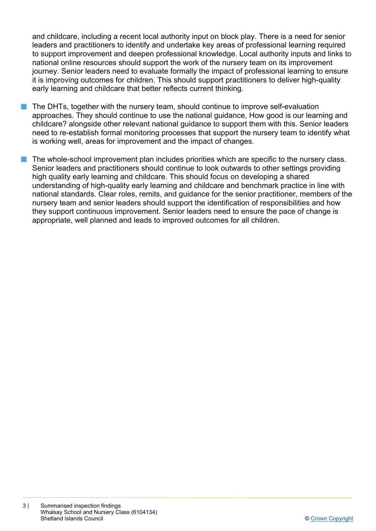and childcare, including a recent local authority input on block play. There is a need for senior leaders and practitioners to identify and undertake key areas of professional learning required to support improvement and deepen professional knowledge. Local authority inputs and links to national online resources should support the work of the nursery team on its improvement journey. Senior leaders need to evaluate formally the impact of professional learning to ensure it is improving outcomes for children. This should support practitioners to deliver high-quality early learning and childcare that better reflects current thinking.

- The DHTs, together with the nursery team, should continue to improve self-evaluation approaches. They should continue to use the national guidance, How good is our learning and childcare? alongside other relevant national guidance to support them with this. Senior leaders need to re-establish formal monitoring processes that support the nursery team to identify what is working well, areas for improvement and the impact of changes.
- The whole-school improvement plan includes priorities which are specific to the nursery class. Senior leaders and practitioners should continue to look outwards to other settings providing high quality early learning and childcare. This should focus on developing a shared understanding of high-quality early learning and childcare and benchmark practice in line with national standards. Clear roles, remits, and guidance for the senior practitioner, members of the nursery team and senior leaders should support the identification of responsibilities and how they support continuous improvement. Senior leaders need to ensure the pace of change is appropriate, well planned and leads to improved outcomes for all children.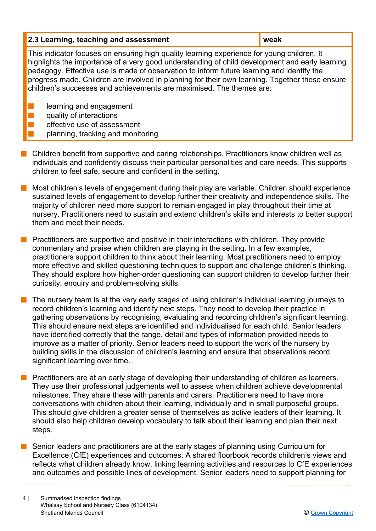- $\blacksquare$  Children benefit from supportive and caring relationships. Practitioners know children well as individuals and confidently discuss their particular personalities and care needs. This supports children to feel safe, secure and confident in the setting.
- **n** Most children's levels of engagement during their play are variable. Children should experience sustained levels of engagement to develop further their creativity and independence skills. The majority of children need more support to remain engaged in play throughout their time at nursery. Practitioners need to sustain and extend children's skills and interests to better support them and meet their needs.
- **n** Practitioners are supportive and positive in their interactions with children. They provide commentary and praise when children are playing in the setting. In a few examples, practitioners support children to think about their learning. Most practitioners need to employ more effective and skilled questioning techniques to support and challenge children's thinking. They should explore how higher-order questioning can support children to develop further their curiosity, enquiry and problem-solving skills.
- $\blacksquare$  The nursery team is at the very early stages of using children's individual learning journeys to record children's learning and identify next steps. They need to develop their practice in gathering observations by recognising, evaluating and recording children's significant learning. This should ensure next steps are identified and individualised for each child. Senior leaders have identified correctly that the range, detail and types of information provided needs to improve as a matter of priority. Senior leaders need to support the work of the nursery by building skills in the discussion of children's learning and ensure that observations record significant learning over time.
- n Practitioners are at an early stage of developing their understanding of children as learners. They use their professional judgements well to assess when children achieve developmental milestones. They share these with parents and carers. Practitioners need to have more conversations with children about their learning, individually and in small purposeful groups. This should give children a greater sense of themselves as active leaders of their learning. It should also help children develop vocabulary to talk about their learning and plan their next steps.
- **n** Senior leaders and practitioners are at the early stages of planning using Curriculum for Excellence (CfE) experiences and outcomes. A shared floorbook records children's views and reflects what children already know, linking learning activities and resources to CfE experiences and outcomes and possible lines of development. Senior leaders need to support planning for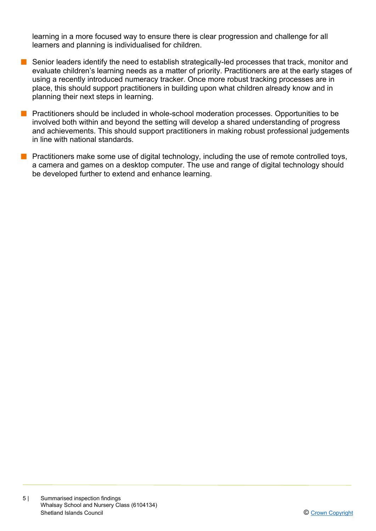learning in a more focused way to ensure there is clear progression and challenge for all learners and planning is individualised for children.

- **n** Senior leaders identify the need to establish strategically-led processes that track, monitor and evaluate children's learning needs as a matter of priority. Practitioners are at the early stages of using a recently introduced numeracy tracker. Once more robust tracking processes are in place, this should support practitioners in building upon what children already know and in planning their next steps in learning.
- **n** Practitioners should be included in whole-school moderation processes. Opportunities to be involved both within and beyond the setting will develop a shared understanding of progress and achievements. This should support practitioners in making robust professional judgements in line with national standards.
- **n** Practitioners make some use of digital technology, including the use of remote controlled toys, a camera and games on a desktop computer. The use and range of digital technology should be developed further to extend and enhance learning.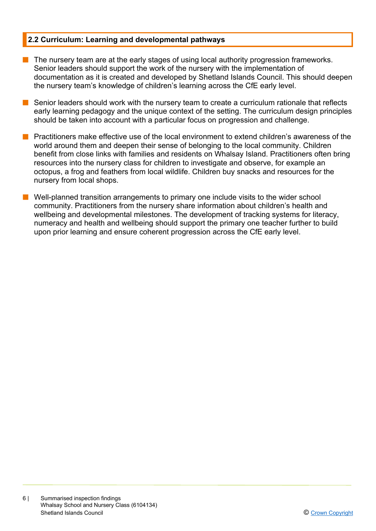#### **2.2 Curriculum: Learning and developmental pathways**

- $\blacksquare$  The nursery team are at the early stages of using local authority progression frameworks. Senior leaders should support the work of the nursery with the implementation of documentation as it is created and developed by Shetland Islands Council. This should deepen the nursery team's knowledge of children's learning across the CfE early level.
- Senior leaders should work with the nursery team to create a curriculum rationale that reflects early learning pedagogy and the unique context of the setting. The curriculum design principles should be taken into account with a particular focus on progression and challenge.
- Practitioners make effective use of the local environment to extend children's awareness of the world around them and deepen their sense of belonging to the local community. Children benefit from close links with families and residents on Whalsay Island. Practitioners often bring resources into the nursery class for children to investigate and observe, for example an octopus, a frog and feathers from local wildlife. Children buy snacks and resources for the nursery from local shops.
- $\blacksquare$  Well-planned transition arrangements to primary one include visits to the wider school community. Practitioners from the nursery share information about children's health and wellbeing and developmental milestones. The development of tracking systems for literacy, numeracy and health and wellbeing should support the primary one teacher further to build upon prior learning and ensure coherent progression across the CfE early level.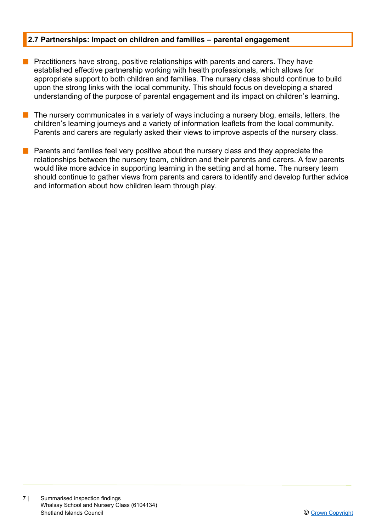#### **2.7 Partnerships: Impact on children and families – parental engagement**

- **n** Practitioners have strong, positive relationships with parents and carers. They have established effective partnership working with health professionals, which allows for appropriate support to both children and families. The nursery class should continue to build upon the strong links with the local community. This should focus on developing a shared understanding of the purpose of parental engagement and its impact on children's learning.
- The nursery communicates in a variety of ways including a nursery blog, emails, letters, the children's learning journeys and a variety of information leaflets from the local community. Parents and carers are regularly asked their views to improve aspects of the nursery class.
- Parents and families feel very positive about the nursery class and they appreciate the relationships between the nursery team, children and their parents and carers. A few parents would like more advice in supporting learning in the setting and at home. The nursery team should continue to gather views from parents and carers to identify and develop further advice and information about how children learn through play.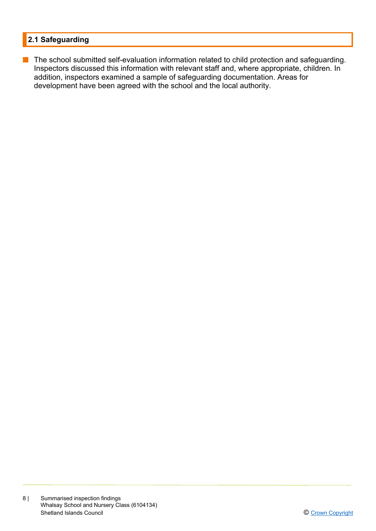## **2.1 Safeguarding**

**n** The school submitted self-evaluation information related to child protection and safeguarding. Inspectors discussed this information with relevant staff and, where appropriate, children. In addition, inspectors examined a sample of safeguarding documentation. Areas for development have been agreed with the school and the local authority.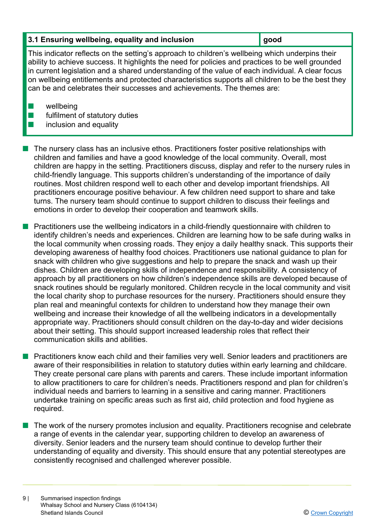## **3.1 Ensuring wellbeing, equality and inclusion good**

This indicator reflects on the setting's approach to children's wellbeing which underpins their ability to achieve success. It highlights the need for policies and practices to be well grounded in current legislation and a shared understanding of the value of each individual. A clear focus on wellbeing entitlements and protected characteristics supports all children to be the best they can be and celebrates their successes and achievements. The themes are:

 $\blacksquare$  wellbeing

 $\blacksquare$  fulfilment of statutory duties

## $\blacksquare$  inclusion and equality

n The nursery class has an inclusive ethos. Practitioners foster positive relationships with children and families and have a good knowledge of the local community. Overall, most children are happy in the setting. Practitioners discuss, display and refer to the nursery rules in child-friendly language. This supports children's understanding of the importance of daily routines. Most children respond well to each other and develop important friendships. All practitioners encourage positive behaviour. A few children need support to share and take turns. The nursery team should continue to support children to discuss their feelings and emotions in order to develop their cooperation and teamwork skills.

**Practitioners use the wellbeing indicators in a child-friendly questionnaire with children to** identify children's needs and experiences. Children are learning how to be safe during walks in the local community when crossing roads. They enjoy a daily healthy snack. This supports their developing awareness of healthy food choices. Practitioners use national guidance to plan for snack with children who give suggestions and help to prepare the snack and wash up their dishes. Children are developing skills of independence and responsibility. A consistency of approach by all practitioners on how children's independence skills are developed because of snack routines should be regularly monitored. Children recycle in the local community and visit the local charity shop to purchase resources for the nursery. Practitioners should ensure they plan real and meaningful contexts for children to understand how they manage their own wellbeing and increase their knowledge of all the wellbeing indicators in a developmentally appropriate way. Practitioners should consult children on the day-to-day and wider decisions about their setting. This should support increased leadership roles that reflect their communication skills and abilities.

**n** Practitioners know each child and their families very well. Senior leaders and practitioners are aware of their responsibilities in relation to statutory duties within early learning and childcare. They create personal care plans with parents and carers. These include important information to allow practitioners to care for children's needs. Practitioners respond and plan for children's individual needs and barriers to learning in a sensitive and caring manner. Practitioners undertake training on specific areas such as first aid, child protection and food hygiene as required.

The work of the nursery promotes inclusion and equality. Practitioners recognise and celebrate a range of events in the calendar year, supporting children to develop an awareness of diversity. Senior leaders and the nursery team should continue to develop further their understanding of equality and diversity. This should ensure that any potential stereotypes are consistently recognised and challenged wherever possible.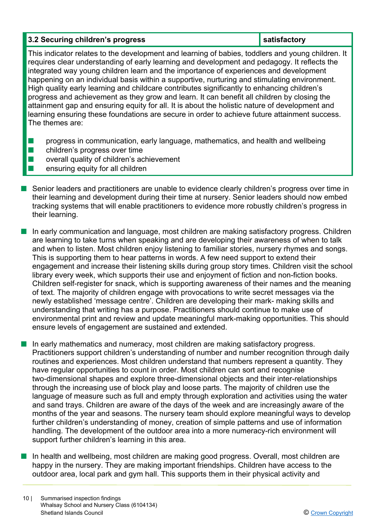### **3.2 Securing children's progress in the satisfactory in the satisfactory**

This indicator relates to the development and learning of babies, toddlers and young children. It requires clear understanding of early learning and development and pedagogy. It reflects the integrated way young children learn and the importance of experiences and development happening on an individual basis within a supportive, nurturing and stimulating environment. High quality early learning and childcare contributes significantly to enhancing children's progress and achievement as they grow and learn. It can benefit all children by closing the attainment gap and ensuring equity for all. It is about the holistic nature of development and learning ensuring these foundations are secure in order to achieve future attainment success. The themes are:

- **n** progress in communication, early language, mathematics, and health and wellbeing
- $\blacksquare$  children's progress over time
- $\blacksquare$  overall quality of children's achievement
- n ensuring equity for all children
- Senior leaders and practitioners are unable to evidence clearly children's progress over time in their learning and development during their time at nursery. Senior leaders should now embed tracking systems that will enable practitioners to evidence more robustly children's progress in their learning.
- $\blacksquare$  In early communication and language, most children are making satisfactory progress. Children are learning to take turns when speaking and are developing their awareness of when to talk and when to listen. Most children enjoy listening to familiar stories, nursery rhymes and songs. This is supporting them to hear patterns in words. A few need support to extend their engagement and increase their listening skills during group story times. Children visit the school library every week, which supports their use and enjoyment of fiction and non-fiction books. Children self-register for snack, which is supporting awareness of their names and the meaning of text. The majority of children engage with provocations to write secret messages via the newly established 'message centre'. Children are developing their mark- making skills and understanding that writing has a purpose. Practitioners should continue to make use of environmental print and review and update meaningful mark-making opportunities. This should ensure levels of engagement are sustained and extended.
- $\blacksquare$  In early mathematics and numeracy, most children are making satisfactory progress. Practitioners support children's understanding of number and number recognition through daily routines and experiences. Most children understand that numbers represent a quantity. They have regular opportunities to count in order. Most children can sort and recognise two-dimensional shapes and explore three-dimensional objects and their inter-relationships through the increasing use of block play and loose parts. The majority of children use the language of measure such as full and empty through exploration and activities using the water and sand trays. Children are aware of the days of the week and are increasingly aware of the months of the year and seasons. The nursery team should explore meaningful ways to develop further children's understanding of money, creation of simple patterns and use of information handling. The development of the outdoor area into a more numeracy-rich environment will support further children's learning in this area.
- In health and wellbeing, most children are making good progress. Overall, most children are happy in the nursery. They are making important friendships. Children have access to the outdoor area, local park and gym hall. This supports them in their physical activity and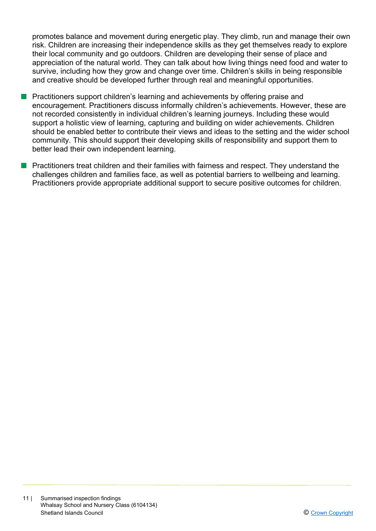promotes balance and movement during energetic play. They climb, run and manage their own risk. Children are increasing their independence skills as they get themselves ready to explore their local community and go outdoors. Children are developing their sense of place and appreciation of the natural world. They can talk about how living things need food and water to survive, including how they grow and change over time. Children's skills in being responsible and creative should be developed further through real and meaningful opportunities.

- **n** Practitioners support children's learning and achievements by offering praise and encouragement. Practitioners discuss informally children's achievements. However, these are not recorded consistently in individual children's learning journeys. Including these would support a holistic view of learning, capturing and building on wider achievements. Children should be enabled better to contribute their views and ideas to the setting and the wider school community. This should support their developing skills of responsibility and support them to better lead their own independent learning.
- **n** Practitioners treat children and their families with fairness and respect. They understand the challenges children and families face, as well as potential barriers to wellbeing and learning. Practitioners provide appropriate additional support to secure positive outcomes for children.